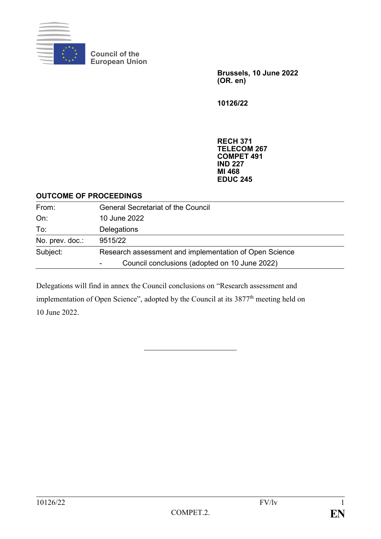

**Council of the European Union**

> **Brussels, 10 June 2022 (OR. en)**

**10126/22**

**RECH 371 TELECOM 267 COMPET 491 IND 227 MI 468 EDUC 245**

#### **OUTCOME OF PROCEEDINGS**

| From:           | <b>General Secretariat of the Council</b>              |
|-----------------|--------------------------------------------------------|
| On:             | 10 June 2022                                           |
| To:             | Delegations                                            |
| No. prev. doc.: | 9515/22                                                |
| Subject:        | Research assessment and implementation of Open Science |
|                 | Council conclusions (adopted on 10 June 2022)          |

Delegations will find in annex the Council conclusions on "Research assessment and implementation of Open Science", adopted by the Council at its 3877<sup>th</sup> meeting held on 10 June 2022.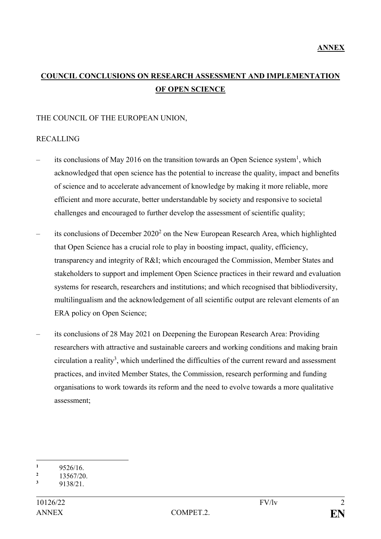# **COUNCIL CONCLUSIONS ON RESEARCH ASSESSMENT AND IMPLEMENTATION OF OPEN SCIENCE**

### THE COUNCIL OF THE EUROPEAN UNION,

### RECALLING

- its conclusions of May 2016 on the transition towards an Open Science system<sup>1</sup>, which acknowledged that open science has the potential to increase the quality, impact and benefits of science and to accelerate advancement of knowledge by making it more reliable, more efficient and more accurate, better understandable by society and responsive to societal challenges and encouraged to further develop the assessment of scientific quality;
- $-$  its conclusions of December 2020<sup>2</sup> on the New European Research Area, which highlighted that Open Science has a crucial role to play in boosting impact, quality, efficiency, transparency and integrity of R&I; which encouraged the Commission, Member States and stakeholders to support and implement Open Science practices in their reward and evaluation systems for research, researchers and institutions; and which recognised that bibliodiversity, multilingualism and the acknowledgement of all scientific output are relevant elements of an ERA policy on Open Science;
- its conclusions of 28 May 2021 on Deepening the European Research Area: Providing researchers with attractive and sustainable careers and working conditions and making brain  $circulation$  a reality<sup>3</sup>, which underlined the difficulties of the current reward and assessment practices, and invited Member States, the Commission, research performing and funding organisations to work towards its reform and the need to evolve towards a more qualitative assessment;

<sup>1</sup>  $\frac{1}{2}$  9526/16.

 $\frac{2}{3}$  13567/20.

**<sup>3</sup>** 9138/21.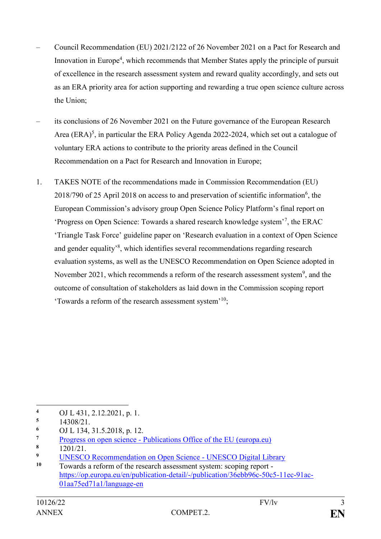- Council Recommendation (EU) 2021/2122 of 26 November 2021 on a Pact for Research and Innovation in Europe<sup>4</sup>, which recommends that Member States apply the principle of pursuit of excellence in the research assessment system and reward quality accordingly, and sets out as an ERA priority area for action supporting and rewarding a true open science culture across the Union;
- its conclusions of 26 November 2021 on the Future governance of the European Research Area  $(ERA)^5$ , in particular the ERA Policy Agenda 2022-2024, which set out a catalogue of voluntary ERA actions to contribute to the priority areas defined in the Council Recommendation on a Pact for Research and Innovation in Europe;
- 1. TAKES NOTE of the recommendations made in Commission Recommendation (EU)  $2018/790$  of 25 April 2018 on access to and preservation of scientific information<sup>6</sup>, the European Commission's advisory group Open Science Policy Platform's final report on 'Progress on Open Science: Towards a shared research knowledge system'<sup>7</sup> , the ERAC 'Triangle Task Force' guideline paper on 'Research evaluation in a context of Open Science and gender equality'<sup>8</sup> , which identifies several recommendations regarding research evaluation systems, as well as the UNESCO Recommendation on Open Science adopted in November 2021, which recommends a reform of the research assessment system<sup>9</sup>, and the outcome of consultation of stakeholders as laid down in the Commission scoping report 'Towards a reform of the research assessment system'<sup>10</sup>;

- **<sup>6</sup>** OJ L 134, 31.5.2018, p. 12.
- **Progress on open science [Publications Office of the EU \(europa.eu\)](https://op.europa.eu/en/publication-detail/-/publication/d36f8071-99bd-11ea-aac4-01aa75ed71a1)**  $\frac{8}{1201/21}$
- $\frac{8}{9}$  1201/21.

<sup>1</sup> **<sup>4</sup>** OJ L 431, 2.12.2021, p. 1.

**<sup>5</sup>** 14308/21.

<sup>&</sup>lt;sup>9</sup> [UNESCO Recommendation on Open Science -](https://unesdoc.unesco.org/ark:/48223/pf0000379949.locale=en) UNESCO Digital Library<br><sup>10</sup> Towards a reform of the research assessment system: seeing report

**<sup>10</sup>** Towards a reform of the research assessment system: scoping report [https://op.europa.eu/en/publication-detail/-/publication/36ebb96c-50c5-11ec-91ac-](https://op.europa.eu/en/publication-detail/-/publication/36ebb96c-50c5-11ec-91ac-01aa75ed71a1/language-en)[01aa75ed71a1/language-en](https://op.europa.eu/en/publication-detail/-/publication/36ebb96c-50c5-11ec-91ac-01aa75ed71a1/language-en)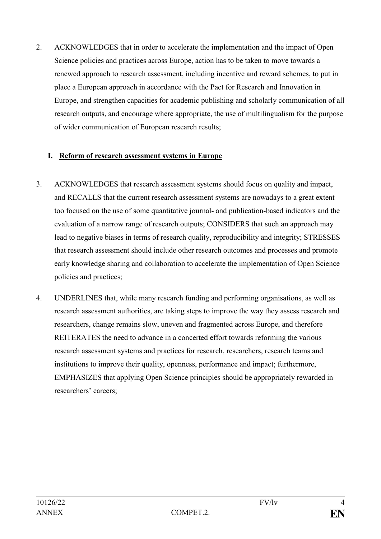2. ACKNOWLEDGES that in order to accelerate the implementation and the impact of Open Science policies and practices across Europe, action has to be taken to move towards a renewed approach to research assessment, including incentive and reward schemes, to put in place a European approach in accordance with the Pact for Research and Innovation in Europe, and strengthen capacities for academic publishing and scholarly communication of all research outputs, and encourage where appropriate, the use of multilingualism for the purpose of wider communication of European research results;

## **I. Reform of research assessment systems in Europe**

- 3. ACKNOWLEDGES that research assessment systems should focus on quality and impact, and RECALLS that the current research assessment systems are nowadays to a great extent too focused on the use of some quantitative journal- and publication-based indicators and the evaluation of a narrow range of research outputs; CONSIDERS that such an approach may lead to negative biases in terms of research quality, reproducibility and integrity; STRESSES that research assessment should include other research outcomes and processes and promote early knowledge sharing and collaboration to accelerate the implementation of Open Science policies and practices;
- 4. UNDERLINES that, while many research funding and performing organisations, as well as research assessment authorities, are taking steps to improve the way they assess research and researchers, change remains slow, uneven and fragmented across Europe, and therefore REITERATES the need to advance in a concerted effort towards reforming the various research assessment systems and practices for research, researchers, research teams and institutions to improve their quality, openness, performance and impact; furthermore, EMPHASIZES that applying Open Science principles should be appropriately rewarded in researchers' careers;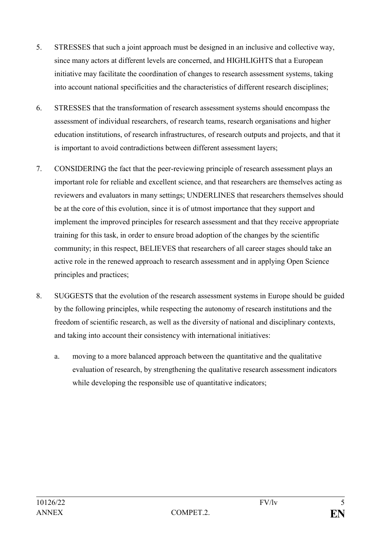- 5. STRESSES that such a joint approach must be designed in an inclusive and collective way, since many actors at different levels are concerned, and HIGHLIGHTS that a European initiative may facilitate the coordination of changes to research assessment systems, taking into account national specificities and the characteristics of different research disciplines;
- 6. STRESSES that the transformation of research assessment systems should encompass the assessment of individual researchers, of research teams, research organisations and higher education institutions, of research infrastructures, of research outputs and projects, and that it is important to avoid contradictions between different assessment layers;
- 7. CONSIDERING the fact that the peer-reviewing principle of research assessment plays an important role for reliable and excellent science, and that researchers are themselves acting as reviewers and evaluators in many settings; UNDERLINES that researchers themselves should be at the core of this evolution, since it is of utmost importance that they support and implement the improved principles for research assessment and that they receive appropriate training for this task, in order to ensure broad adoption of the changes by the scientific community; in this respect, BELIEVES that researchers of all career stages should take an active role in the renewed approach to research assessment and in applying Open Science principles and practices;
- 8. SUGGESTS that the evolution of the research assessment systems in Europe should be guided by the following principles, while respecting the autonomy of research institutions and the freedom of scientific research, as well as the diversity of national and disciplinary contexts, and taking into account their consistency with international initiatives:
	- a. moving to a more balanced approach between the quantitative and the qualitative evaluation of research, by strengthening the qualitative research assessment indicators while developing the responsible use of quantitative indicators;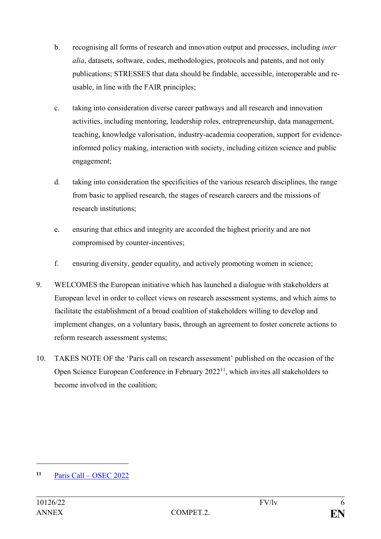- b. recognising all forms of research and innovation output and processes, including *inter alia*, datasets, software, codes, methodologies, protocols and patents, and not only publications; STRESSES that data should be findable, accessible, interoperable and reusable, in line with the FAIR principles;
- c. taking into consideration diverse career pathways and all research and innovation activities, including mentoring, leadership roles, entrepreneurship, data management, teaching, knowledge valorisation, industry-academia cooperation, support for evidenceinformed policy making, interaction with society, including citizen science and public engagement;
- d. taking into consideration the specificities of the various research disciplines, the range from basic to applied research, the stages of research careers and the missions of research institutions;
- e. ensuring that ethics and integrity are accorded the highest priority and are not compromised by counter-incentives;
- f. ensuring diversity, gender equality, and actively promoting women in science;
- 9. WELCOMES the European initiative which has launched a dialogue with stakeholders at European level in order to collect views on research assessment systems, and which aims to facilitate the establishment of a broad coalition of stakeholders willing to develop and implement changes, on a voluntary basis, through an agreement to foster concrete actions to reform research assessment systems;
- 10. TAKES NOTE OF the 'Paris call on research assessment' published on the occasion of the Open Science European Conference in February 2022<sup>11</sup>, which invites all stakeholders to become involved in the coalition;

1

**<sup>11</sup>** Paris Call – [OSEC 2022](https://osec2022.eu/paris-call/)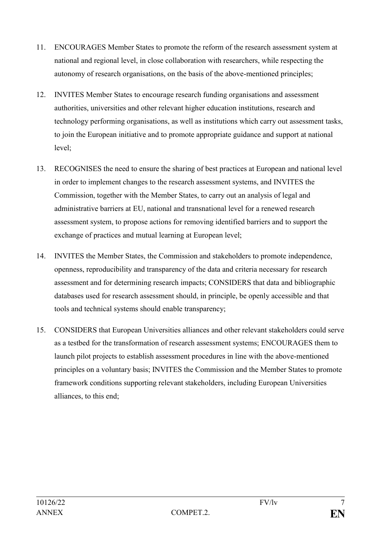- 11. ENCOURAGES Member States to promote the reform of the research assessment system at national and regional level, in close collaboration with researchers, while respecting the autonomy of research organisations, on the basis of the above-mentioned principles;
- 12. INVITES Member States to encourage research funding organisations and assessment authorities, universities and other relevant higher education institutions, research and technology performing organisations, as well as institutions which carry out assessment tasks, to join the European initiative and to promote appropriate guidance and support at national level;
- 13. RECOGNISES the need to ensure the sharing of best practices at European and national level in order to implement changes to the research assessment systems, and INVITES the Commission, together with the Member States, to carry out an analysis of legal and administrative barriers at EU, national and transnational level for a renewed research assessment system, to propose actions for removing identified barriers and to support the exchange of practices and mutual learning at European level;
- 14. INVITES the Member States, the Commission and stakeholders to promote independence, openness, reproducibility and transparency of the data and criteria necessary for research assessment and for determining research impacts; CONSIDERS that data and bibliographic databases used for research assessment should, in principle, be openly accessible and that tools and technical systems should enable transparency;
- 15. CONSIDERS that European Universities alliances and other relevant stakeholders could serve as a testbed for the transformation of research assessment systems; ENCOURAGES them to launch pilot projects to establish assessment procedures in line with the above-mentioned principles on a voluntary basis; INVITES the Commission and the Member States to promote framework conditions supporting relevant stakeholders, including European Universities alliances, to this end;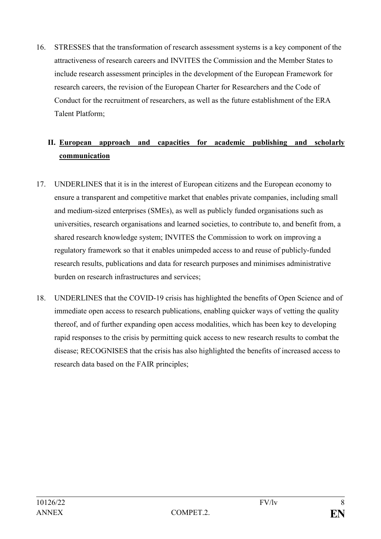16. STRESSES that the transformation of research assessment systems is a key component of the attractiveness of research careers and INVITES the Commission and the Member States to include research assessment principles in the development of the European Framework for research careers, the revision of the European Charter for Researchers and the Code of Conduct for the recruitment of researchers, as well as the future establishment of the ERA Talent Platform;

# **II. European approach and capacities for academic publishing and scholarly communication**

- 17. UNDERLINES that it is in the interest of European citizens and the European economy to ensure a transparent and competitive market that enables private companies, including small and medium-sized enterprises (SMEs), as well as publicly funded organisations such as universities, research organisations and learned societies, to contribute to, and benefit from, a shared research knowledge system; INVITES the Commission to work on improving a regulatory framework so that it enables unimpeded access to and reuse of publicly-funded research results, publications and data for research purposes and minimises administrative burden on research infrastructures and services;
- 18. UNDERLINES that the COVID-19 crisis has highlighted the benefits of Open Science and of immediate open access to research publications, enabling quicker ways of vetting the quality thereof, and of further expanding open access modalities, which has been key to developing rapid responses to the crisis by permitting quick access to new research results to combat the disease; RECOGNISES that the crisis has also highlighted the benefits of increased access to research data based on the FAIR principles;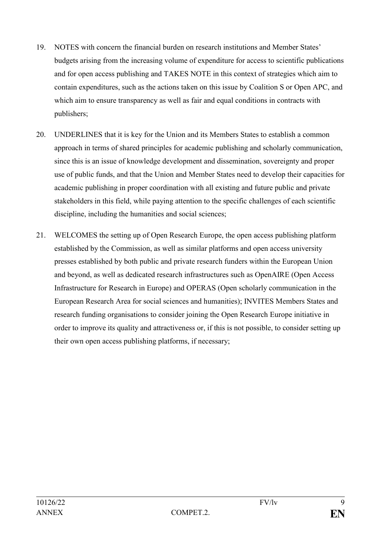- 19. NOTES with concern the financial burden on research institutions and Member States' budgets arising from the increasing volume of expenditure for access to scientific publications and for open access publishing and TAKES NOTE in this context of strategies which aim to contain expenditures, such as the actions taken on this issue by Coalition S or Open APC, and which aim to ensure transparency as well as fair and equal conditions in contracts with publishers;
- 20. UNDERLINES that it is key for the Union and its Members States to establish a common approach in terms of shared principles for academic publishing and scholarly communication, since this is an issue of knowledge development and dissemination, sovereignty and proper use of public funds, and that the Union and Member States need to develop their capacities for academic publishing in proper coordination with all existing and future public and private stakeholders in this field, while paying attention to the specific challenges of each scientific discipline, including the humanities and social sciences;
- 21. WELCOMES the setting up of Open Research Europe, the open access publishing platform established by the Commission, as well as similar platforms and open access university presses established by both public and private research funders within the European Union and beyond, as well as dedicated research infrastructures such as OpenAIRE (Open Access Infrastructure for Research in Europe) and OPERAS (Open scholarly communication in the European Research Area for social sciences and humanities); INVITES Members States and research funding organisations to consider joining the Open Research Europe initiative in order to improve its quality and attractiveness or, if this is not possible, to consider setting up their own open access publishing platforms, if necessary;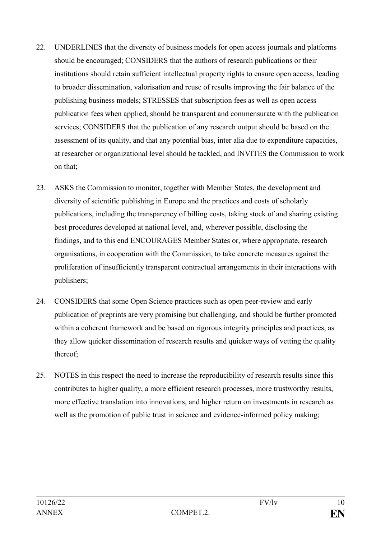- 22. UNDERLINES that the diversity of business models for open access journals and platforms should be encouraged; CONSIDERS that the authors of research publications or their institutions should retain sufficient intellectual property rights to ensure open access, leading to broader dissemination, valorisation and reuse of results improving the fair balance of the publishing business models; STRESSES that subscription fees as well as open access publication fees when applied, should be transparent and commensurate with the publication services; CONSIDERS that the publication of any research output should be based on the assessment of its quality, and that any potential bias, inter alia due to expenditure capacities, at researcher or organizational level should be tackled, and INVITES the Commission to work on that;
- 23. ASKS the Commission to monitor, together with Member States, the development and diversity of scientific publishing in Europe and the practices and costs of scholarly publications, including the transparency of billing costs, taking stock of and sharing existing best procedures developed at national level, and, wherever possible, disclosing the findings, and to this end ENCOURAGES Member States or, where appropriate, research organisations, in cooperation with the Commission, to take concrete measures against the proliferation of insufficiently transparent contractual arrangements in their interactions with publishers;
- 24. CONSIDERS that some Open Science practices such as open peer-review and early publication of preprints are very promising but challenging, and should be further promoted within a coherent framework and be based on rigorous integrity principles and practices, as they allow quicker dissemination of research results and quicker ways of vetting the quality thereof;
- 25. NOTES in this respect the need to increase the reproducibility of research results since this contributes to higher quality, a more efficient research processes, more trustworthy results, more effective translation into innovations, and higher return on investments in research as well as the promotion of public trust in science and evidence-informed policy making;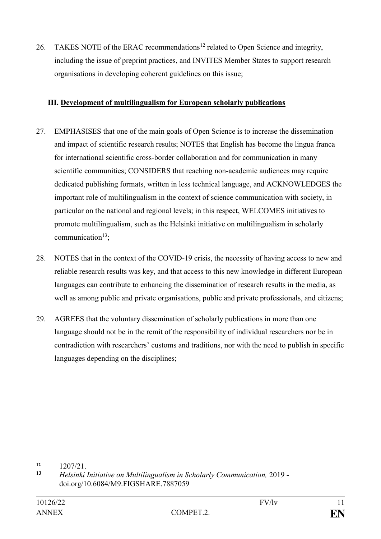26. TAKES NOTE of the ERAC recommendations<sup>12</sup> related to Open Science and integrity, including the issue of preprint practices, and INVITES Member States to support research organisations in developing coherent guidelines on this issue;

## **III. Development of multilingualism for European scholarly publications**

- 27. EMPHASISES that one of the main goals of Open Science is to increase the dissemination and impact of scientific research results; NOTES that English has become the lingua franca for international scientific cross-border collaboration and for communication in many scientific communities; CONSIDERS that reaching non-academic audiences may require dedicated publishing formats, written in less technical language, and ACKNOWLEDGES the important role of multilingualism in the context of science communication with society, in particular on the national and regional levels; in this respect, WELCOMES initiatives to promote multilingualism, such as the Helsinki initiative on multilingualism in scholarly communication $13$ .
- 28. NOTES that in the context of the COVID-19 crisis, the necessity of having access to new and reliable research results was key, and that access to this new knowledge in different European languages can contribute to enhancing the dissemination of research results in the media, as well as among public and private organisations, public and private professionals, and citizens;
- 29. AGREES that the voluntary dissemination of scholarly publications in more than one language should not be in the remit of the responsibility of individual researchers nor be in contradiction with researchers' customs and traditions, nor with the need to publish in specific languages depending on the disciplines;

1

 $\frac{12}{13}$   $\frac{1207}{21}$ .

**<sup>13</sup>** *Helsinki Initiative on Multilingualism in Scholarly Communication,* 2019 doi.org/10.6084/M9.FIGSHARE.7887059